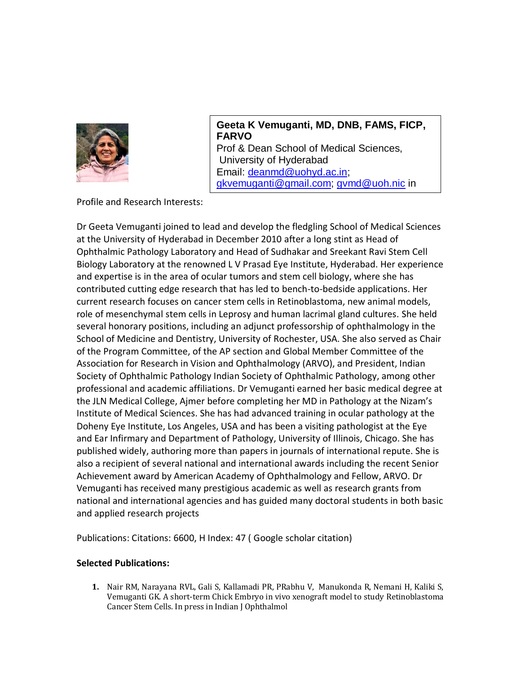

**Geeta K Vemuganti, MD, DNB, FAMS, FICP, FARVO** Prof & Dean School of Medical Sciences, University of Hyderabad Email: [deanmd@uohyd.ac.in;](mailto:deanmd@uohyd.ac.in) [gkvemuganti@gmail.com;](mailto:gkvemuganti@gmail.com) [gvmd@uoh.nic](mailto:gvmd@uoh.nic) in

Profile and Research Interests:

Dr Geeta Vemuganti joined to lead and develop the fledgling School of Medical Sciences at the University of Hyderabad in December 2010 after a long stint as Head of Ophthalmic Pathology Laboratory and Head of Sudhakar and Sreekant Ravi Stem Cell Biology Laboratory at the renowned L V Prasad Eye Institute, Hyderabad. Her experience and expertise is in the area of ocular tumors and stem cell biology, where she has contributed cutting edge research that has led to bench-to-bedside applications. Her current research focuses on cancer stem cells in Retinoblastoma, new animal models, role of mesenchymal stem cells in Leprosy and human lacrimal gland cultures. She held several honorary positions, including an adjunct professorship of ophthalmology in the School of Medicine and Dentistry, University of Rochester, USA. She also served as Chair of the Program Committee, of the AP section and Global Member Committee of the Association for Research in Vision and Ophthalmology (ARVO), and President, Indian Society of Ophthalmic Pathology Indian Society of Ophthalmic Pathology, among other professional and academic affiliations. Dr Vemuganti earned her basic medical degree at the JLN Medical College, Ajmer before completing her MD in Pathology at the Nizam's Institute of Medical Sciences. She has had advanced training in ocular pathology at the Doheny Eye Institute, Los Angeles, USA and has been a visiting pathologist at the Eye and Ear Infirmary and Department of Pathology, University of Illinois, Chicago. She has published widely, authoring more than papers in journals of international repute. She is also a recipient of several national and international awards including the recent Senior Achievement award by American Academy of Ophthalmology and Fellow, ARVO. Dr Vemuganti has received many prestigious academic as well as research grants from national and international agencies and has guided many doctoral students in both basic and applied research projects

Publications: Citations: 6600, H Index: 47 ( Google scholar citation)

## **Selected Publications:**

**1.** Nair RM, Narayana RVL, Gali S, Kallamadi PR, PRabhu V, Manukonda R, Nemani H, Kaliki S, Vemuganti GK. A short-term Chick Embryo in vivo xenograft model to study Retinoblastoma Cancer Stem Cells. In press in Indian J Ophthalmol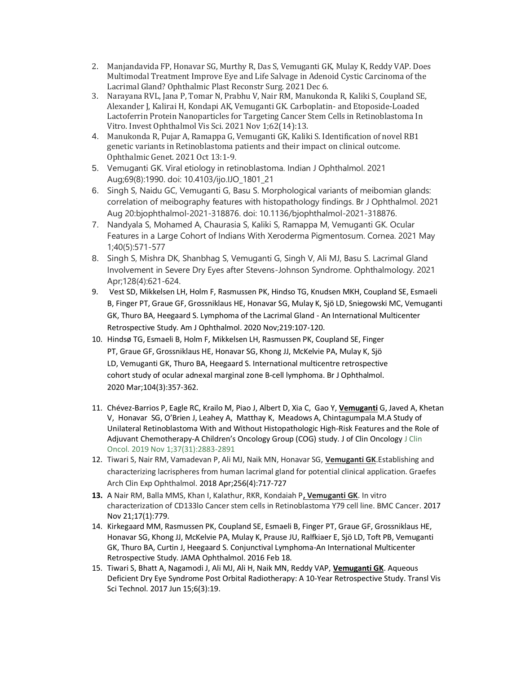- 2. Manjandavida FP, Honavar SG, Murthy R, Das S, Vemuganti GK, Mulay K, Reddy VAP. Does Multimodal Treatment Improve Eye and Life Salvage in Adenoid Cystic Carcinoma of the Lacrimal Gland? Ophthalmic Plast Reconstr Surg. 2021 Dec 6.
- 3. Narayana RVL, Jana P, Tomar N, Prabhu V, Nair RM, Manukonda R, Kaliki S, Coupland SE, Alexander J, Kalirai H, Kondapi AK, Vemuganti GK. Carboplatin- and Etoposide-Loaded Lactoferrin Protein Nanoparticles for Targeting Cancer Stem Cells in Retinoblastoma In Vitro. Invest Ophthalmol Vis Sci. 2021 Nov 1;62(14):13.
- 4. Manukonda R, Pujar A, Ramappa G, Vemuganti GK, Kaliki S. Identification of novel RB1 genetic variants in Retinoblastoma patients and their impact on clinical outcome. Ophthalmic Genet. 2021 Oct 13:1-9.
- 5. Vemuganti GK. Viral etiology in retinoblastoma. Indian J Ophthalmol. 2021 Aug;69(8):1990. doi: 10.4103/ijo.IJO\_1801\_21
- 6. Singh S, Naidu GC, Vemuganti G, Basu S. Morphological variants of meibomian glands: correlation of meibography features with histopathology findings. Br J Ophthalmol. 2021 Aug 20:bjophthalmol-2021-318876. doi: 10.1136/bjophthalmol-2021-318876.
- 7. Nandyala S, Mohamed A, Chaurasia S, Kaliki S, Ramappa M, Vemuganti GK. Ocular Features in a Large Cohort of Indians With Xeroderma Pigmentosum. Cornea. 2021 May 1;40(5):571-577
- 8. Singh S, Mishra DK, Shanbhag S, Vemuganti G, Singh V, Ali MJ, Basu S. Lacrimal Gland Involvement in Severe Dry Eyes after Stevens-Johnson Syndrome. Ophthalmology. 2021 Apr;128(4):621-624.
- 9. Vest SD, Mikkelsen LH, Holm F, Rasmussen PK, Hindso TG, Knudsen MKH, Coupland SE, Esmaeli B, Finger PT, Graue GF, Grossniklaus HE, Honavar SG, Mulay K, Sjö LD, Sniegowski MC, Vemuganti GK, Thuro BA, Heegaard S. Lymphoma of the Lacrimal Gland - An International Multicenter Retrospective Study. Am J Ophthalmol. 2020 Nov;219:107-120.
- 10. Hindsø TG, Esmaeli B, Holm F, Mikkelsen LH, Rasmussen PK, Coupland SE, Finger PT, Graue GF, Grossniklaus HE, Honavar SG, Khong JJ, McKelvie PA, Mulay K, Sjö LD, Vemuganti GK, Thuro BA, Heegaard S. International multicentre retrospective cohort study of ocular adnexal marginal zone B-cell lymphoma. Br J Ophthalmol. 2020 Mar;104(3):357-362.
- 11. Chévez-Barrios P, Eagle RC, Krailo M, Piao J, Albert D, Xia C, Gao Y, **Vemuganti** G, Javed A, Khetan V, Honavar SG, O'Brien J, Leahey A, Matthay K, Meadows A, Chintagumpala M.A Study of Unilateral Retinoblastoma With and Without Histopathologic High-Risk Features and the Role of Adjuvant Chemotherapy-A Children's Oncology Group (COG) study. J of Clin Oncology J Clin Oncol. 2019 Nov 1;37(31):2883-2891
- 12. Tiwari S, Nair RM, Vamadevan P, Ali MJ, Naik MN, Honavar SG, **Vemuganti GK**.Establishing and characterizing lacrispheres from human lacrimal gland for potential clinical application. Graefes Arch Clin Exp Ophthalmol. 2018 Apr;256(4):717-727
- **13.** A Nair RM, Balla MMS, Khan I, Kalathur, RKR, Kondaiah P**, Vemuganti GK**. In vitro characterization of CD133lo Cancer stem cells in Retinoblastoma Y79 cell line. BMC Cancer. 2017 Nov 21;17(1):779.
- 14. Kirkegaard MM, Rasmussen PK, Coupland SE, Esmaeli B, Finger PT, Graue GF, Grossniklaus HE, Honavar SG, Khong JJ, McKelvie PA, Mulay K, Prause JU, Ralfkiaer E, Sjö LD, Toft PB, Vemuganti GK, Thuro BA, Curtin J, Heegaard S. Conjunctival Lymphoma-An International Multicenter Retrospective Study. JAMA Ophthalmol. 2016 Feb 18.
- 15. Tiwari S, Bhatt A, Nagamodi J, Ali MJ, Ali H, Naik MN, Reddy VAP, **Vemuganti GK**. Aqueous Deficient Dry Eye Syndrome Post Orbital Radiotherapy: A 10-Year Retrospective Study. Transl Vis Sci Technol. 2017 Jun 15;6(3):19.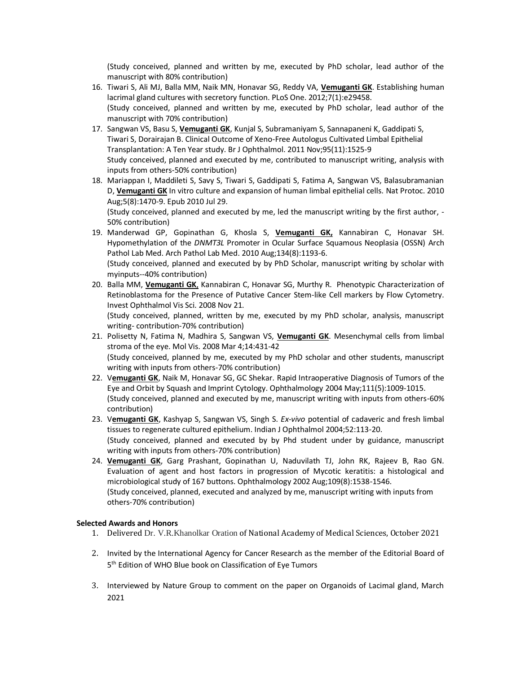(Study conceived, planned and written by me, executed by PhD scholar, lead author of the manuscript with 80% contribution)

- 16. Tiwari S, Ali MJ, Balla MM, Naik MN, Honavar SG, Reddy VA, **Vemuganti GK**. Establishing human lacrimal gland cultures with secretory function. PLoS One. 2012;7(1):e29458. (Study conceived, planned and written by me, executed by PhD scholar, lead author of the manuscript with 70% contribution)
- 17. Sangwan VS, Basu S, **Vemuganti GK**, Kunjal S, Subramaniyam S, Sannapaneni K, Gaddipati S, Tiwari S, Dorairajan B. Clinical Outcome of Xeno-Free Autologus Cultivated Limbal Epithelial Transplantation: A Ten Year study. Br J Ophthalmol. 2011 Nov;95(11):1525-9 Study conceived, planned and executed by me, contributed to manuscript writing, analysis with inputs from others-50% contribution)
- 18. Mariappan I, Maddileti S, Savy S, Tiwari S, Gaddipati S, Fatima A, Sangwan VS, Balasubramanian D, **Vemuganti GK** [In vitro culture and expansion of human limbal epithelial cells.](http://www.ncbi.nlm.nih.gov/pubmed/20671730) Nat Protoc. 2010 Aug;5(8):1470-9. Epub 2010 Jul 29.

(Study conceived, planned and executed by me, led the manuscript writing by the first author, - 50% contribution)

- 19. Manderwad GP, Gopinathan G, Khosla S, **Vemuganti GK,** Kannabiran C, Honavar SH. Hypomethylation of the *DNMT3L* Promoter in Ocular Surface Squamous Neoplasia (OSSN) Arch Pathol Lab Med. Arch Pathol Lab Med. 2010 Aug;134(8):1193-6. (Study conceived, planned and executed by by PhD Scholar, manuscript writing by scholar with myinputs--40% contribution)
- 20. Balla MM, **Vemuganti GK**, Kannabiran C, Honavar SG, Murthy R. Phenotypic Characterization of Retinoblastoma for the Presence of Putative Cancer Stem-like Cell markers by Flow Cytometry. Invest Ophthalmol Vis Sci. 2008 Nov 21.

(Study conceived, planned, written by me, executed by my PhD scholar, analysis, manuscript writing- contribution-70% contribution)

- 21. Polisetty N, Fatima N, Madhira S, Sangwan VS, **Vemuganti GK**. Mesenchymal cells from limbal stroma of the eye. Mol Vis. 2008 Mar 4;14:431-42 (Study conceived, planned by me, executed by my PhD scholar and other students, manuscript writing with inputs from others-70% contribution)
- 22. V**emuganti GK**, Naik M, Honavar SG, GC Shekar. Rapid Intraoperative Diagnosis of Tumors of the Eye and Orbit by Squash and Imprint Cytology. Ophthalmology 2004 May;111(5):1009-1015. (Study conceived, planned and executed by me, manuscript writing with inputs from others-60% contribution)
- 23. V**emuganti GK**, Kashyap S, Sangwan VS, Singh S. *Ex-vivo* potential of cadaveric and fresh limbal tissues to regenerate cultured epithelium. Indian J Ophthalmol 2004;52:113-20. (Study conceived, planned and executed by by Phd student under by guidance, manuscript writing with inputs from others-70% contribution)
- 24. **Vemuganti GK**, Garg Prashant, Gopinathan U, Naduvilath TJ, John RK, Rajeev B, Rao GN. Evaluation of agent and host factors in progression of Mycotic keratitis: a histological and microbiological study of 167 buttons. Ophthalmology 2002 Aug;109(8):1538-1546. (Study conceived, planned, executed and analyzed by me, manuscript writing with inputs from others-70% contribution)

## **Selected Awards and Honors**

- 1. Delivered Dr. V.R.Khanolkar Oration of National Academy of Medical Sciences, October 2021
- 2. Invited by the International Agency for Cancer Research as the member of the Editorial Board of 5<sup>th</sup> Edition of WHO Blue book on Classification of Eye Tumors
- 3. Interviewed by Nature Group to comment on the paper on Organoids of Lacimal gland, March 2021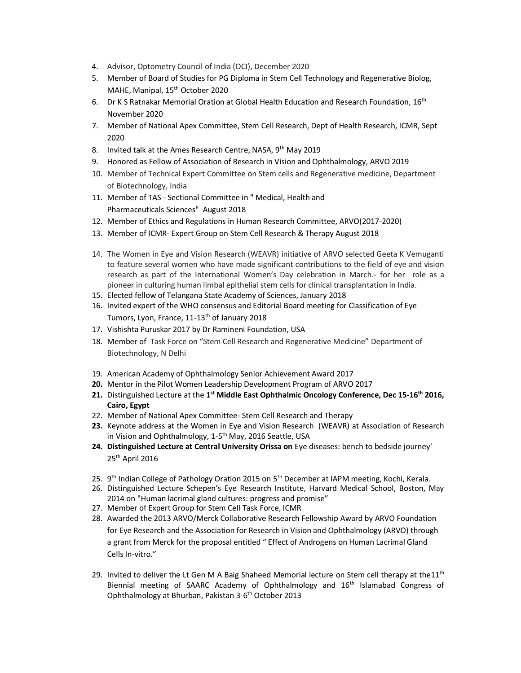- 4. Advisor, Optometry Council of India (OCI), December 2020
- 5. Member of Board of Studies for PG Diploma in Stem Cell Technology and Regenerative Biolog, MAHE, Manipal, 15<sup>th</sup> October 2020
- 6. Dr K S Ratnakar Memorial Oration at Global Health Education and Research Foundation, 16<sup>th</sup> November 2020
- 7. Member of National Apex Committee, Stem Cell Research, Dept of Health Research, ICMR, Sept 2020
- 8. Invited talk at the Ames Research Centre, NASA, 9<sup>th</sup> May 2019
- 9. Honored as Fellow of Association of Research in Vision and Ophthalmology, ARVO 2019
- 10. Member of Technical Expert Committee on Stem cells and Regenerative medicine, Department of Biotechnology, India
- 11. Member of TAS Sectional Committee in " Medical, Health and Pharmaceuticals Sciences" August 2018
- 12. Member of Ethics and Regulations in Human Research Committee, ARVO(2017-2020)
- 13. Member of ICMR- Expert Group on Stem Cell Research & Therapy August 2018
- 14. The Women in Eye and Vision Research (WEAVR) initiative of ARVO selected Geeta K Vemuganti to feature several women who have made significant contributions to the field of eye and vision research as part of the International Women's Day celebration in March.- for her role as a pioneer in culturing human limbal epithelial stem cells for clinical transplantation in India.
- 15. Elected fellow of Telangana State Academy of Sciences, January 2018
- 16. Invited expert of the WHO consensus and Editorial Board meeting for Classification of Eye Tumors, Lyon, France, 11-13<sup>th</sup> of January 2018
- 17. Vishishta Puruskar 2017 by Dr Ramineni Foundation, USA
- 18. Member of Task Force on "Stem Cell Research and Regenerative Medicine" Department of Biotechnology, N Delhi
- 19. American Academy of Ophthalmology Senior Achievement Award 2017
- **20.** Mentor in the Pilot Women Leadership Development Program of ARVO 2017
- **21.** Distinguished Lecture at the **1 st Middle East Ophthalmic Oncology Conference, Dec 15-16th 2016, Cairo, Egypt**
- 22. Member of National Apex Committee- Stem Cell Research and Therapy
- **23.** Keynote address at the Women in Eye and Vision Research (WEAVR) at Association of Research in Vision and Ophthalmology, 1-5<sup>th</sup> May, 2016 Seattle, USA
- **24. Distinguished Lecture at Central University Orissa on** Eye diseases: bench to bedside journey' 25th April 2016
- 25. 9<sup>th</sup> Indian College of Pathology Oration 2015 on 5<sup>th</sup> December at IAPM meeting, Kochi, Kerala.
- 26. Distinguished Lecture Schepen's Eye Research Institute, Harvard Medical School, Boston, May 2014 on "Human lacrimal gland cultures: progress and promise"
- 27. Member of Expert Group for Stem Cell Task Force, ICMR
- 28. Awarded the 2013 ARVO/Merck Collaborative Research Fellowship Award by ARVO Foundation for Eye Research and the Association for Research in Vision and Ophthalmology (ARVO) through a grant from Merck for the proposal entitled " Effect of Androgens on Human Lacrimal Gland Cells In-vitro."
- 29. Invited to deliver the Lt Gen M A Baig Shaheed Memorial lecture on Stem cell therapy at the $11<sup>th</sup>$ Biennial meeting of SAARC Academy of Ophthalmology and 16th Islamabad Congress of Ophthalmology at Bhurban, Pakistan 3-6<sup>th</sup> October 2013